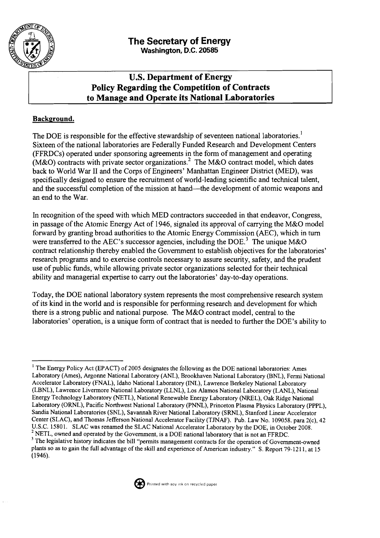

# **U.S.Department of Energy Policy Regarding the Competition of Contracts to Manage and Operate its National Laboratories**

## **Background.**

The DOE is responsible for the effective stewardship of seventeen national laboratories.<sup>1</sup> Sixteen of the national laboratories are Federally Funded Research and Development Centers (FFRDCs) operated under sponsoring agreements in the form of management and operating (M&O) contracts with private sector organizations.<sup>2</sup> The M&O contract model, which dates back to World War I1 and the Corps of Engineers' Manhattan Engineer District (MED), was specifically designed to ensure the recruitment of world-leading scientific and technical talent, and the successful completion of the mission at hand—the development of atomic weapons and an end to the War.

In recognition of the speed with which MED contractors succeeded in that endeavor, Congress, in passage of the Atomic Energy Act of 1946, signaled its approval of carrying the M&O model forward by granting broad authorities to the Atomic Energy Commission (AEC), which in turn were transferred to the AEC's successor agencies, including the DOE.<sup>3</sup> The unique M&O contract relationship thereby enabled the Government to establish objectives for the laboratories' research programs and to exercise controls necessary to assure security, safety, and the prudent use of public funds, while allowing private sector organizations selected for their technical ability and managerial expertise to carry out the laboratories' day-to-day operations.

Today, the DOE national laboratory system represents the most comprehensive research system of its kind in the world and is responsible for performing research and development for which there is a strong public and national purpose. The M&O contract model, central to the laboratories' operation, is a unique form of contract that is needed to further the DOE'S ability to

<sup>&</sup>lt;sup>3</sup> The legislative history indicates the bill "permits management contracts for the operation of Government-owned plants so as to gain the full advantage of the skill and experience of American industry." S. Report 79-1211, at 15 (1946).



<sup>&</sup>lt;sup>1</sup> The Energy Policy Act (EPACT) of 2005 designates the following as the DOE national laboratories: Ames Laboratory (Ames), Argonne National Laboratory (ANL), Brookhaven National Laboratory (BNL), Fermi National Accelerator Laboratory **(FNAL),** Idaho National Laboratory (INL),Lawrence Berkeley National Laboratory (LBNL), Lawrence Livermore National Laboratory (LLNL), Los Alamos National Laboratory (LANL), National Energy Technology Laboratory (NETL), National Renewable Energy Laboratory (NREL), Oak Ridge National Laboratory (ORNL), Pacific Northwest National Laboratory (PNNL), Princeton Plasma Physics Laboratory (PPPL), Sandia National Laboratories (SNL), Savannah River National Laboratory (SRNL), Stanford Linear Accelerator Center (SLAC), and Thomas Jefferson National Accelerator Facility (TJNAF). Pub. Law No. 109058. para 2(c), 42 U.S.C. 1580**1.** SLAC was renamed the SLAC National Accelerator Laboratory by the DOE, in October 2008.  $<sup>2</sup>$  NETL, owned and operated by the Government, is a DOE national laboratory that is not an FFRDC.</sup>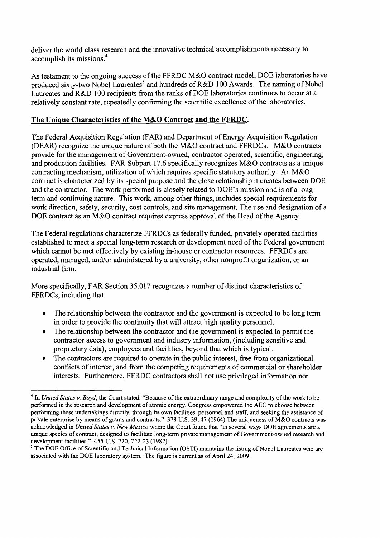deliver the world class research and the innovative technical accomplishments necessary to accomplish its missions.<sup>4</sup>

As testament to the ongoing success of the FFRDC M&O contract model, DOE laboratories have produced sixty-two Nobel Laureates<sup>5</sup> and hundreds of R&D 100 Awards. The naming of Nobel Laureates and R&D 100 recipients from the ranks of DOE laboratories continues to occur at a relatively constant rate, repeatedly confirming the scientific excellence of the laboratories.

### **The Unique Characteristics of the M&O Contract and the FFRDC.**

The Federal Acquisition Regulation (FAR) and Department of Energy Acquisition Regulation (DEAR) recognize the unique nature of both the M&O contract and FFRDCs. M&O contracts provide for the management of Government-owned, contractor operated, scientific, engineering, and production facilities. FAR Subpart 17.6 specifically recognizes M&O contracts as a unique contracting mechanism, utilization of which requires specific statutory authority. **An** M&O contract is characterized by its special purpose and the close relationship it creates between DOE and the contractor. The work performed is closely related to DOE'S mission and is of a longterm and continuing nature. This work, among other things, includes special requirements for work direction, safety, security, cost controls, and site management. The use and designation of a DOE contract as an M&O contract requires express approval of the Head of the Agency.

The Federal regulations characterize FFRDCs as federally funded, privately operated facilities established to meet a special long-term research or development need of the Federal government which cannot be met effectively by existing in-house or contractor resources. FFRDCs are operated, managed, and/or administered by a university, other nonprofit organization, or an industrial firm.

More specifically, FAR Section 35.017 recognizes a number of distinct characteristics of FFRDCs, including that:

- The relationship between the contractor and the government is expected to be long term  $\bullet$ in order to provide the continuity that will attract high quality personnel.
- The relationship between the contractor and the government is expected to permit the  $\bullet$ contractor access to government and industry information, (including sensitive and proprietary data), employees and facilities, beyond that which is typical.
- The contractors are required to operate in the public interest, free from organizational  $\bullet$ conflicts of interest, and from the competing requirements of commercial or shareholder interests. Furthermore, FFRDC contractors shall not use privileged information nor

<sup>&</sup>lt;sup>4</sup> In *United States v. Boyd*, the Court stated: "Because of the extraordinary range and complexity of the work to be performed in the research and development of atomic energy, Congress empowered the AEC to choose between performing these undertalungs directly, through its own facilities, personnel and staff, and seeking the assistance of private enterprise by means of grants and contracts." 378 U.S. 39, 47 (1964) The uniqueness of M&O contracts was acknowledged in *United States* v. *New Mexico* where the Court found that "in several ways DOE agreements are a unique species of contract, designed to facilitate long-term private management of Government-owned research and development facilities." 455 U.S. 720, 722-23 (1982)

<sup>&</sup>lt;sup>5</sup> The DOE Office of Scientific and Technical Information (OSTI) maintains the listing of Nobel Laureates who are associated with the DOE laboratory system. The figure is current as of April 24,2009.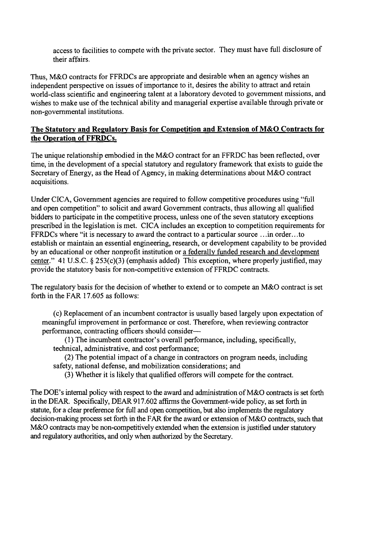access to facilities to compete with the private sector. They must have full disclosure of their affairs.

Thus, M&O contracts for FFRDCs are appropriate and desirable when an agency wishes an independent perspective on issues of importance to it, desires the ability to attract and retain world-class scientific and engineering talent at a laboratory devoted to government missions, and wishes to make use of the technical ability and managerial expertise available through private or non-governmental institutions.

### **The Statutorv and Regulatorv Basis for Competition and Extension of M&O Contracts for the Operation of FFRDCs.**

The unique relationship embodied in the M&O contract for an FFRDC has been reflected, over time, in the development of a special statutory and regulatory framework that exists to guide the Secretary of Energy, as the Head of Agency, in making determinations about M&O contract acquisitions.

Under CICA, Government agencies are required to follow competitive procedures using "full and open competition" to solicit and award Government contracts, thus allowing all qualified bidders to participate in the competitive process, unless one of the seven statutory exceptions prescribed in the legislation is met. CICA includes an exception to competition requirements for FFRDCs where "it is necessary to award the contract to a particular source . . .in order.. .to establish or maintain an essential engineering, research, or development capability to be provided by an educational or other nonprofit institution or a federally funded research and development center." 41 U.S.C. **8** 253(c)(3) (emphasis added) This exception, where properly justified, may provide the statutory basis for non-competitive extension of FFRDC contracts.

The regulatory basis for the decision of whether to extend or to compete an M&O contract is set forth in the FAR 17.605 as follows:

(c) Replacement of an incumbent contractor is usually based largely upon expectation of meaningful improvement in performance or cost. Therefore, when reviewing contractor performance, contracting officers should consider-

(1) The incumbent contractor's overall performance, including, specifically, technical, administrative, and cost performance;

(2) The potential impact of a change in contractors on program needs, including safety, national defense, and mobilization considerations; and

(3) Whether it is likely that qualified offerors will compete for the contract.

The DOE'S internal policy with respect to the award and administration of M&O contracts is set forth in the DEAR. Specifically, DEAR 917.602 affirms the Government-wide policy, as set forth in statute, for a clear preference for full and open competition, but also implements the regulatory decision-making process set forth in the FAR for the award or extension of M&O contracts, such that M&O contracts may be non-competitively extended when the extension is justified under statutory and regulatory authorities, and only when authorized by the Secretary.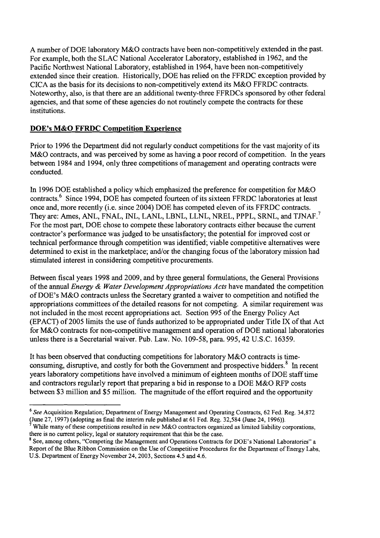A number of DOE laboratory M&O contracts have been non-competitively extended in the past. For example, both the SLAC National Accelerator Laboratory, established in 1962, and the Pacific Northwest National Laboratory, established in 1964, have been non-competitively extended since their creation. Historically, DOE has relied on the FFRDC exception provided by CICA as the basis for its decisions to non-competitively extend its M&O FFRDC contracts. Noteworthy, also, is that there are an additional twenty-three FFRDCs sponsored by other federal agencies, and that some of these agencies do not routinely compete the contracts for these institutions.

### **DOE's M&O FFRDC Competition Experience**

Prior to 1996 the Department did not regularly conduct competitions for the vast majority of its M&O contracts, and was perceived by some as having a poor record of competition. In the years between 1984 and 1994, only three competitions of management and operating contracts were conducted.

In 1996 DOE established a policy which emphasized the preference for competition for M&O contracts.<sup>6</sup> Since 1994, DOE has competed fourteen of its sixteen FFRDC laboratories at least once and, more recently (i.e. since 2004) DOE has competed eleven of its FFRDC contracts. They are: Ames, ANL, FNAL, INL, LANL, LBNL, LLNL, NREL, PPPL, SRNL, and TJNAF.<sup>7</sup> For the most part, DOE chose to compete these laboratory contracts either because the current contractor's performance was judged to be unsatisfactory; the potential for improved cost or technical performance through competition was identified; viable competitive alternatives were determined to exist in the marketplace; and/or the changing focus of the laboratory mission had stimulated interest in considering competitive procurements.

Between fiscal years 1998 and 2009, and by three general formulations, the General Provisions of the annual *Energy* & *Water Development Appropriations Acts* have mandated the competition of DOE'S M&O contracts unless the Secretary granted a waiver to competition and notified the appropriations committees of the detailed reasons for not competing. A similar requirement was not included in the most recent appropriations act. Section 995 of the Energy Policy Act (EPACT) of 2005 limits the use of funds authorized to be appropriated under Title IX of that Act for M&O contracts for non-competitive management and operation of DOE national laboratories unless there is a Secretarial waiver. Pub. Law. No. 109-58, para. 995,42 U.S.C. 16359.

It has been observed that conducting competitions for laboratory M&O contracts is timeconsuming, disruptive, and costly for both the Government and prospective bidders.<sup>8</sup> In recent years laboratory competitions have involved a minimum of eighteen months of DOE staff time and contractors regularly report that preparing a bid in response to a DOE M&O RFP costs between \$3 million and \$5 million. The magnitude of the effort required and the opportunity

<sup>&</sup>lt;sup>6</sup> See Acquisition Regulation; Department of Energy Management and Operating Contracts, 62 Fed. Reg. 34,872 (June 27, 1997) (adopting as final the interim rule published at 61 Fed. Reg. 32,584 (June 24, 1996)).

**<sup>7</sup>**While many of these competitions resulted in new M&O contractors organized as limited liability corporations, there is no current policy, legal or statutory requirement that this be the case.

<sup>&</sup>lt;sup>8</sup> See, among others, "Competing the Management and Operations Contracts for DOE's National Laboratories" a Report of the Blue Ribbon Commission on the Use of Competitive Procedures for the Department of Energy Labs, U.S. Department of Energy November 24,2003, Sections 4.5 and 4.6.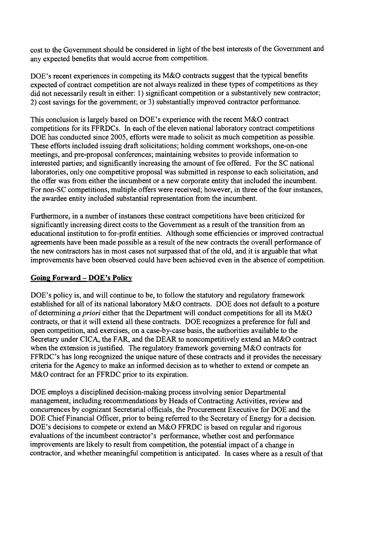cost to the Government should be considered in light of the best interests of the Government and any expected benefits that would accrue from competition.

DOE's recent experiences in competing its M&O contracts suggest that the typical benefits expected of contract competition are not always realized in these types of competitions as they did not necessarily result in either: 1) significant competition or a substantively new contractor; 2) cost savings for the government; or 3) substantially improved contractor performance.

This conclusion is largely based on DOE's experience with the recent M&O contract competitions for its FFRDCs. **In** each of the eleven national laboratory contract competitions DOE has conducted since 2005, efforts were made to solicit as much competition as possible. These efforts included issuing draft solicitations; holding comment workshops, one-on-one meetings, and pre-proposal conferences; maintaining websites to provide information to interested parties; and significantly increasing the amount of fee offered. For the SC national laboratories, only one competitive proposal was submitted in response to each solicitation, and the offer was from either the incumbent or a new corporate entity that included the incumbent. For non-SC competitions, multiple offers were received; however, in three of the four instances, the awardee entity included substantial representation from the incumbent.

Furthermore, in a number of instances these contract competitions have been criticized for significantly increasing direct costs to the Government as a result of the transition from an educational institution to for-profit entities. Although some efficiencies or improved contractual agreements have been made possible as a result of the new contracts the overall performance of the new contractors has in most cases not surpassed that of the old, and it is arguable that what improvements have been observed could have been achieved even in the absence of competition.

#### **Going Forward** -**DOE's Policv**

DOE's policy is, and will continue to be, to follow the statutory and regulatory framework established for all of its national laboratory M&O contracts. DOE does not default to a posture of determining a*priori* either that the Department will conduct competitions for all its M&O contracts, or that it will extend all these contracts. DOE recognizes a preference for full and open competition, and exercises, on a case-by-case basis, the authorities available to the Secretary under CICA, the FAR, and the DEAR to noncompetitively extend an M&O contract when the extension is justified. The regulatory framework governing M&O contracts for FFRDC's has long recognized the unique nature of these contracts and it provides the necessary criteria for the Agency to make an informed decision as to whether to extend or compete an M&O contract for an FFRDC prior to its expiration.

DOE employs a disciplined decision-making process involving senior Departmental management, including recommendations by Heads of Contracting Activities, review and concurrences by cognizant Secretarial officials, the Procurement Executive for DOE and the DOE Chief Financial Officer, prior to being referred to the Secretary of Energy for a decision. DOE's decisions to compete or extend an M&O FFRDC is based on regular and rigorous evaluations of the incumbent contractor's performance, whether cost and performance improvements are likely to result from competition, the potential impact of a change in contractor, and whether meaningful competition is anticipated. In cases where as a result of that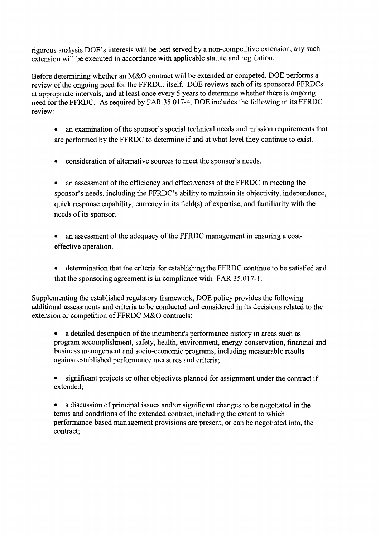rigorous analysis DOE'S interests will be best served by a non-competitive extension, any such extension will be executed in accordance with applicable statute and regulation.

Before determining whether an M&O contract will be extended or competed, DOE performs a review of the ongoing need for the FFRDC, itself. DOE reviews each of its sponsored FFRDCs at appropriate intervals, and at least once every 5 years to determine whether there is ongoing need for the FFRDC. As required by FAR 35.017-4, DOE includes the following in its FFRDC review:

- an examination of the sponsor's special technical needs and mission requirements that are performed by the FFRDC to determine if and at what level they continue to exist.
- consideration of alternative sources to meet the sponsor's needs.  $\bullet$

an assessment of the efficiency and effectiveness of the FFRDC in meeting the sponsor's needs, including the FFRDC's ability to maintain its objectivity, independence, quick response capability, currency in its field(s) of expertise, and familiarity with the needs of its sponsor.

an assessment of the adequacy of the FFRDC management in ensuring a costeffective operation.

determination that the criteria for establishing the FFRDC continue to be satisfied and that the sponsoring agreement is in compliance with FAR 35.017-1.

Supplementing the established regulatory framework, DOE policy provides the following additional assessments and criteria to be conducted and considered in its decisions related to the extension or competition of FFRDC M&O contracts:

a detailed description of the incumbent's performance history in areas such as program accomplishment, safety, health, environment, energy conservation, financial and business management and socio-economic programs, including measurable results against established performance measures and criteria;

significant projects or other objectives planned for assignment under the contract if extended;

a discussion of principal issues and/or significant changes to be negotiated in the terms and conditions of the extended contract, including the extent to which performance-based management provisions are present, or can be negotiated into, the contract;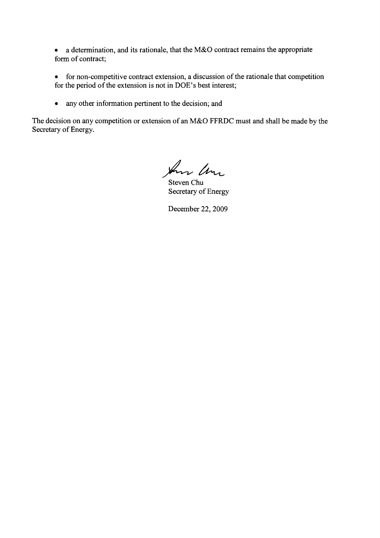a determination, and its rationale, that the M&O contract remains the appropriate  $\bullet$ form of contract;

for non-competitive contract extension, a discussion of the rationale that competition  $\bullet$ for the period of the extension is not in DOE'S best interest;

any other information pertinent to the decision; and  $\bullet$ 

The decision on any competition or extension of an M&O FFRDC must and shall be made by the Secretary of Energy.

Am Um

Steven Chu Secretary of Energy

December 22,2009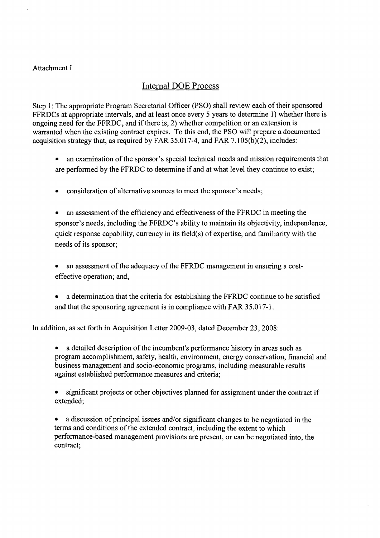#### Attachment I

# Internal DOE Process

Step 1: The appropriate Program Secretarial Officer (PSO) shall review each of their sponsored FFRDCs at appropriate intervals, and at least once every 5 years to determine 1) whether there is ongoing need for the FFRDC, and if there is, 2) whether competition or an extension is warranted when the existing contract expires. To this end, the PSO will prepare a documented acquisition strategy that, as required by FAR 35.017-4, and FAR 7.105(b)(2), includes:

- an examination of the sponsor's special technical needs and mission requirements that are performed by the FFRDC to determine if and at what level they continue to exist;
- consideration of alternative sources to meet the sponsor's needs;

an assessment of the efficiency and effectiveness of the FFRDC in meeting the sponsor's needs, including the FFRDC's ability to maintain its objectivity, independence, quick response capability, currency in its field(s) of expertise, and familiarity with the needs of its sponsor;

an assessment of the adequacy of the FFRDC management in ensuring a costeffective operation; and,

a determination that the criteria for establishing the FFRDC continue to be satisfied and that the sponsoring agreement is in compliance with FAR 35.01 7-1.

In addition, as set forth in Acquisition Letter 2009-03, dated December 23,2008:

a detailed description of the incumbent's performance history in areas such as program accomplishment, safety, health, environment, energy conservation, financial and business management and socio-economic programs, including measurable results against established performance measures and criteria;

significant projects or other objectives planned for assignment under the contract if extended;

a discussion of principal issues and/or significant changes to be negotiated in the terms and conditions of the extended contract, including the extent to which performance-based management provisions are present, or can be negotiated into, the contract;